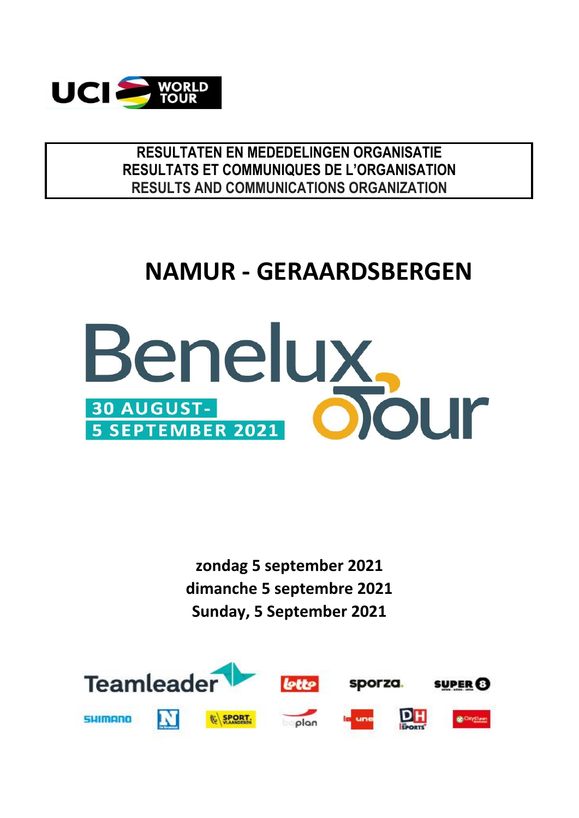

**RESULTATEN EN MEDEDELINGEN ORGANISATIE RESULTS AND COMMUNICATIONS ORGANIZATION RESULTATS ET COMMUNIQUES DE L'ORGANISATION**

## **NAMUR - GERAARDSBERGEN**



**dimanche 5 septembre 2021 Sunday, 5 September 2021 zondag 5 september 2021**

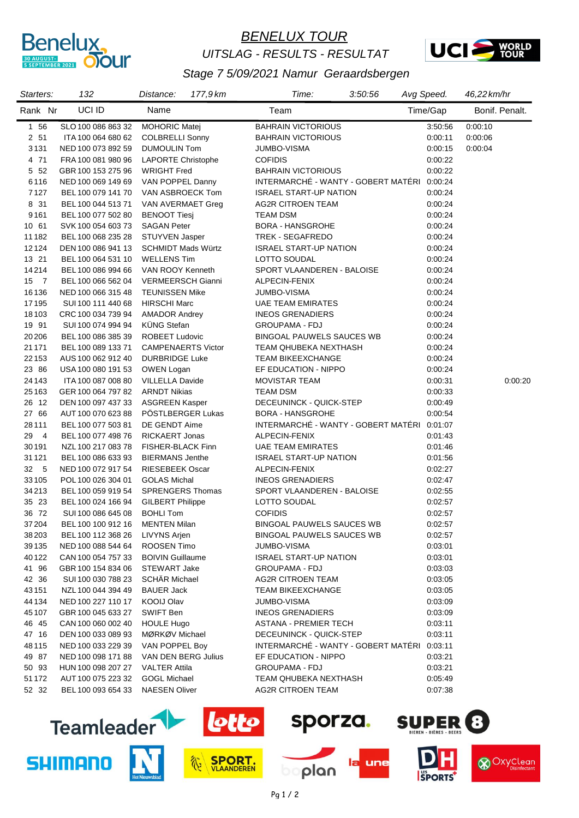

#### *BENELUX TOUR UITSLAG - RESULTS - RESULTAT*



#### *Stage 7 5/09/2021 Namur Geraardsbergen*

| Starters: | 132                | Distance:                 | 177,9 km | Time:                                       | 3:50:56 | Avg Speed. | 46,22 km/hr |                |
|-----------|--------------------|---------------------------|----------|---------------------------------------------|---------|------------|-------------|----------------|
| Rank Nr   | UCI ID             | Name                      |          | Team                                        |         | Time/Gap   |             | Bonif. Penalt. |
| 1 56      | SLO 100 086 863 32 | <b>MOHORIC Matej</b>      |          | <b>BAHRAIN VICTORIOUS</b>                   |         | 3:50:56    | 0:00:10     |                |
| 2 51      | ITA 100 064 680 62 | <b>COLBRELLI Sonny</b>    |          | <b>BAHRAIN VICTORIOUS</b>                   |         | 0:00:11    | 0:00:06     |                |
| 3131      | NED 100 073 892 59 | <b>DUMOULIN Tom</b>       |          | JUMBO-VISMA                                 |         | 0:00:15    | 0:00:04     |                |
| 4 71      | FRA 100 081 980 96 | <b>LAPORTE Christophe</b> |          | <b>COFIDIS</b>                              |         | 0:00:22    |             |                |
| 5 52      | GBR 100 153 275 96 | <b>WRIGHT Fred</b>        |          | <b>BAHRAIN VICTORIOUS</b>                   |         | 0:00:22    |             |                |
| 6116      | NED 100 069 149 69 | VAN POPPEL Danny          |          | INTERMARCHÉ - WANTY - GOBERT MATÉRI 0:00:24 |         |            |             |                |
| 7127      | BEL 100 079 141 70 | VAN ASBROECK Tom          |          | <b>ISRAEL START-UP NATION</b>               |         | 0:00:24    |             |                |
| 8 31      | BEL 100 044 513 71 | VAN AVERMAET Greg         |          | AG2R CITROEN TEAM                           |         | 0:00:24    |             |                |
| 9161      | BEL 100 077 502 80 | <b>BENOOT Tiesi</b>       |          | TEAM DSM                                    |         | 0:00:24    |             |                |
| 10 61     | SVK 100 054 603 73 | <b>SAGAN Peter</b>        |          | <b>BORA - HANSGROHE</b>                     |         | 0:00:24    |             |                |
| 11182     | BEL 100 068 235 28 | STUYVEN Jasper            |          | TREK - SEGAFREDO                            |         | 0:00:24    |             |                |
| 12124     | DEN 100 086 941 13 | <b>SCHMIDT Mads Würtz</b> |          | <b>ISRAEL START-UP NATION</b>               |         | 0:00:24    |             |                |
| 13 21     | BEL 100 064 531 10 | <b>WELLENS Tim</b>        |          | LOTTO SOUDAL                                |         | 0.00.24    |             |                |
| 14214     | BEL 100 086 994 66 | VAN ROOY Kenneth          |          | SPORT VLAANDEREN - BALOISE                  |         | 0:00:24    |             |                |
| 15 7      | BEL 100 066 562 04 | <b>VERMEERSCH Gianni</b>  |          | ALPECIN-FENIX                               |         | 0.00.24    |             |                |
| 16136     | NED 100 066 315 48 | <b>TEUNISSEN Mike</b>     |          | JUMBO-VISMA                                 |         | 0:00:24    |             |                |
| 17195     | SUI 100 111 440 68 | <b>HIRSCHI Marc</b>       |          | <b>UAE TEAM EMIRATES</b>                    |         | 0.00.24    |             |                |
| 18103     | CRC 100 034 739 94 | <b>AMADOR Andrey</b>      |          | <b>INEOS GRENADIERS</b>                     |         | 0.00.24    |             |                |
| 19 91     | SUI 100 074 994 94 | <b>KÜNG Stefan</b>        |          | <b>GROUPAMA - FDJ</b>                       |         | 0:00:24    |             |                |
| 20206     | BEL 100 086 385 39 | <b>ROBEET Ludovic</b>     |          | <b>BINGOAL PAUWELS SAUCES WB</b>            |         | 0.00.24    |             |                |
| 21 1 7 1  | BEL 100 089 133 71 | <b>CAMPENAERTS Victor</b> |          | TEAM QHUBEKA NEXTHASH                       |         | 0:00:24    |             |                |
| 22 153    | AUS 100 062 912 40 | <b>DURBRIDGE Luke</b>     |          | TEAM BIKEEXCHANGE                           |         | 0:00:24    |             |                |
| 23 86     | USA 100 080 191 53 | OWEN Logan                |          | EF EDUCATION - NIPPO                        |         | 0:00:24    |             |                |
| 24 1 4 3  | ITA 100 087 008 80 | <b>VILLELLA Davide</b>    |          | <b>MOVISTAR TEAM</b>                        |         | 0:00:31    |             | 0:00:20        |
| 25163     | GER 100 064 797 82 | <b>ARNDT Nikias</b>       |          | TEAM DSM                                    |         | 0:00:33    |             |                |
| 26 12     | DEN 100 097 437 33 | <b>ASGREEN Kasper</b>     |          | DECEUNINCK - QUICK-STEP                     |         | 0:00:49    |             |                |
| 27 66     | AUT 100 070 623 88 | PÖSTLBERGER Lukas         |          | <b>BORA - HANSGROHE</b>                     |         | 0:00:54    |             |                |
| 28111     | BEL 100 077 503 81 | DE GENDT Aime             |          | INTERMARCHÉ - WANTY - GOBERT MATÉRI 0:01:07 |         |            |             |                |
| 29 4      | BEL 100 077 498 76 | <b>RICKAERT Jonas</b>     |          | ALPECIN-FENIX                               |         | 0:01:43    |             |                |
| 30191     | NZL 100 217 083 78 | FISHER-BLACK Finn         |          | <b>UAE TEAM EMIRATES</b>                    |         | 0:01:46    |             |                |
| 31 1 21   | BEL 100 086 633 93 | <b>BIERMANS Jenthe</b>    |          | <b>ISRAEL START-UP NATION</b>               |         | 0:01:56    |             |                |
| 32 5      | NED 100 072 917 54 | <b>RIESEBEEK Oscar</b>    |          | ALPECIN-FENIX                               |         | 0.02:27    |             |                |
| 33 105    | POL 100 026 304 01 | <b>GOLAS Michal</b>       |          | <b>INEOS GRENADIERS</b>                     |         | 0:02:47    |             |                |
| 34 213    | BEL 100 059 919 54 | <b>SPRENGERS Thomas</b>   |          | SPORT VLAANDEREN - BALOISE                  |         | 0:02:55    |             |                |
| 35 23     | BEL 100 024 166 94 | <b>GILBERT Philippe</b>   |          | LOTTO SOUDAL                                |         | 0.02:57    |             |                |
| 36 72     | SUI 100 086 645 08 | <b>BOHLI Tom</b>          |          | <b>COFIDIS</b>                              |         | 0:02:57    |             |                |
| 37 204    | BEL 100 100 912 16 | <b>MENTEN Milan</b>       |          | <b>BINGOAL PAUWELS SAUCES WB</b>            |         | 0:02:57    |             |                |
| 38 203    | BEL 100 112 368 26 | <b>LIVYNS Arjen</b>       |          | BINGOAL PAUWELS SAUCES WB                   |         | 0:02:57    |             |                |
| 39135     | NED 100 088 544 64 | ROOSEN Timo               |          | JUMBO-VISMA                                 |         | 0:03:01    |             |                |
| 40122     | CAN 100 054 757 33 | <b>BOIVIN Guillaume</b>   |          | <b>ISRAEL START-UP NATION</b>               |         | 0:03:01    |             |                |
| 41 96     | GBR 100 154 834 06 | <b>STEWART Jake</b>       |          | <b>GROUPAMA - FDJ</b>                       |         | 0:03:03    |             |                |
| 42 36     | SUI 100 030 788 23 | <b>SCHÄR Michael</b>      |          | <b>AG2R CITROEN TEAM</b>                    |         | 0:03:05    |             |                |
| 43151     | NZL 100 044 394 49 | <b>BAUER Jack</b>         |          | TEAM BIKEEXCHANGE                           |         | 0:03:05    |             |                |
| 44 134    | NED 100 227 110 17 | KOOIJ Olav                |          | JUMBO-VISMA                                 |         | 0:03:09    |             |                |
| 45 107    | GBR 100 045 633 27 | SWIFT Ben                 |          | <b>INEOS GRENADIERS</b>                     |         | 0:03:09    |             |                |
| 46 45     | CAN 100 060 002 40 | <b>HOULE Hugo</b>         |          | <b>ASTANA - PREMIER TECH</b>                |         | 0:03:11    |             |                |
| 47 16     | DEN 100 033 089 93 | MØRKØV Michael            |          | DECEUNINCK - QUICK-STEP                     |         | 0:03:11    |             |                |
| 48115     | NED 100 033 229 39 | VAN POPPEL Boy            |          | INTERMARCHÉ - WANTY - GOBERT MATÉRI 0:03:11 |         |            |             |                |
| 49 87     | NED 100 098 171 88 | VAN DEN BERG Julius       |          | EF EDUCATION - NIPPO                        |         | 0:03:21    |             |                |
| 50 93     | HUN 100 098 207 27 | <b>VALTER Attila</b>      |          | <b>GROUPAMA - FDJ</b>                       |         | 0:03:21    |             |                |
| 51 1 72   | AUT 100 075 223 32 | <b>GOGL Michael</b>       |          | TEAM QHUBEKA NEXTHASH                       |         | 0:05:49    |             |                |
| 52 32     | BEL 100 093 654 33 | <b>NAESEN Oliver</b>      |          | <b>AG2R CITROEN TEAM</b>                    |         | 0:07:38    |             |                |



Pg 1 / 2

**X** Oxyclean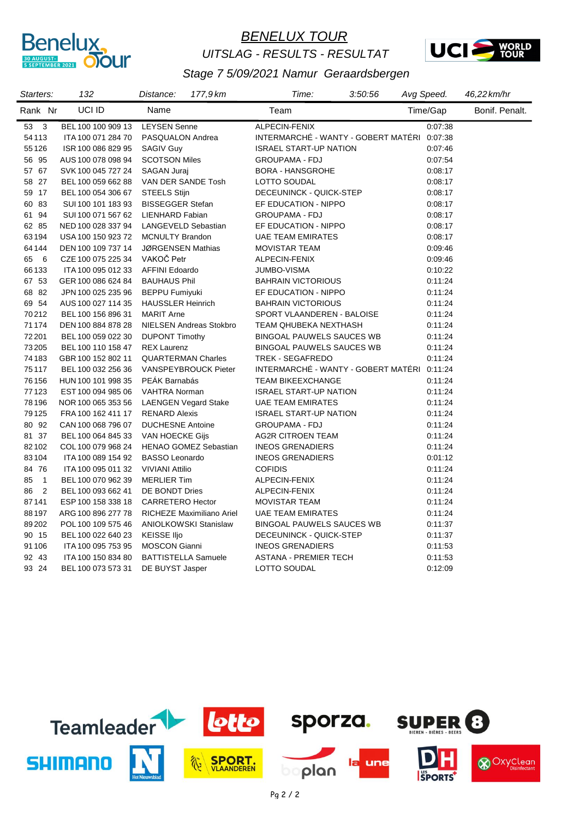

#### *BENELUX TOUR UITSLAG - RESULTS - RESULTAT*



| Starters:            | 132                | Distance:                    | 177,9 km | Time:                               | 3:50:56 | Avg Speed. | 46,22 km/hr    |
|----------------------|--------------------|------------------------------|----------|-------------------------------------|---------|------------|----------------|
| Rank Nr              | UCI ID             | Name                         |          | Team                                |         | Time/Gap   | Bonif. Penalt. |
| $53\quad 3$          | BEL 100 100 909 13 | <b>LEYSEN Senne</b>          |          | ALPECIN-FENIX                       |         | 0.07.38    |                |
| 54113                | ITA 100 071 284 70 | PASQUALON Andrea             |          | INTERMARCHÉ - WANTY - GOBERT MATÉRI |         | 0:07:38    |                |
| 55126                | ISR 100 086 829 95 | <b>SAGIV Guy</b>             |          | <b>ISRAEL START-UP NATION</b>       |         | 0:07:46    |                |
| 56 95                | AUS 100 078 098 94 | <b>SCOTSON Miles</b>         |          | <b>GROUPAMA - FDJ</b>               |         | 0:07:54    |                |
| 57 67                | SVK 100 045 727 24 | SAGAN Juraj                  |          | <b>BORA - HANSGROHE</b>             |         | 0:08:17    |                |
| 58 27                | BEL 100 059 662 88 | VAN DER SANDE Tosh           |          | LOTTO SOUDAL                        |         | 0:08:17    |                |
| 59 17                | BEL 100 054 306 67 | <b>STEELS Stijn</b>          |          | DECEUNINCK - QUICK-STEP             |         | 0:08:17    |                |
| 60 83                | SUI 100 101 183 93 | <b>BISSEGGER Stefan</b>      |          | EF EDUCATION - NIPPO                |         | 0:08:17    |                |
| 61 94                | SUI 100 071 567 62 | <b>LIENHARD Fabian</b>       |          | <b>GROUPAMA - FDJ</b>               |         | 0:08:17    |                |
| 62 85                | NED 100 028 337 94 | <b>LANGEVELD Sebastian</b>   |          | EF EDUCATION - NIPPO                |         | 0:08:17    |                |
| 63194                | USA 100 150 923 72 | <b>MCNULTY Brandon</b>       |          | <b>UAE TEAM EMIRATES</b>            |         | 0:08:17    |                |
| 64144                | DEN 100 109 737 14 | JØRGENSEN Mathias            |          | <b>MOVISTAR TEAM</b>                |         | 0.09.46    |                |
| 65<br>- 6            | CZE 100 075 225 34 | VAKOČ Petr                   |          | ALPECIN-FENIX                       |         | 0:09:46    |                |
| 66133                | ITA 100 095 012 33 | <b>AFFINI Edoardo</b>        |          | <b>JUMBO-VISMA</b>                  |         | 0:10:22    |                |
| 67 53                | GER 100 086 624 84 | <b>BAUHAUS Phil</b>          |          | <b>BAHRAIN VICTORIOUS</b>           |         | 0:11:24    |                |
| 68 82                | JPN 100 025 235 96 | <b>BEPPU Fumiyuki</b>        |          | EF EDUCATION - NIPPO                |         | 0:11:24    |                |
| 69 54                | AUS 100 027 114 35 | <b>HAUSSLER Heinrich</b>     |          | <b>BAHRAIN VICTORIOUS</b>           |         | 0:11:24    |                |
| 70212                | BEL 100 156 896 31 | <b>MARIT Arne</b>            |          | SPORT VLAANDEREN - BALOISE          |         | 0:11:24    |                |
| 71174                | DEN 100 884 878 28 | NIELSEN Andreas Stokbro      |          | TEAM QHUBEKA NEXTHASH               |         | 0:11:24    |                |
| 72 201               | BEL 100 059 022 30 | <b>DUPONT Timothy</b>        |          | <b>BINGOAL PAUWELS SAUCES WB</b>    |         | 0:11:24    |                |
| 73205                | BEL 100 110 158 47 | <b>REX Laurenz</b>           |          | <b>BINGOAL PAUWELS SAUCES WB</b>    |         | 0:11:24    |                |
| 74183                | GBR 100 152 802 11 | <b>QUARTERMAN Charles</b>    |          | TREK - SEGAFREDO                    |         | 0:11:24    |                |
| 75117                | BEL 100 032 256 36 | <b>VANSPEYBROUCK Pieter</b>  |          | INTERMARCHÉ - WANTY - GOBERT MATÉRI |         | 0:11:24    |                |
| 76156                | HUN 100 101 998 35 | PEÁK Barnabás                |          | <b>TEAM BIKEEXCHANGE</b>            |         | 0:11:24    |                |
| 77123                | EST 100 094 985 06 | <b>VAHTRA Norman</b>         |          | <b>ISRAEL START-UP NATION</b>       |         | 0:11:24    |                |
| 78196                | NOR 100 065 353 56 | <b>LAENGEN Vegard Stake</b>  |          | <b>UAE TEAM EMIRATES</b>            |         | 0:11:24    |                |
| 79125                | FRA 100 162 411 17 | <b>RENARD Alexis</b>         |          | <b>ISRAEL START-UP NATION</b>       |         | 0:11:24    |                |
| 80 92                | CAN 100 068 796 07 | <b>DUCHESNE Antoine</b>      |          | <b>GROUPAMA - FDJ</b>               |         | 0:11:24    |                |
| 81 37                | BEL 100 064 845 33 | VAN HOECKE Gijs              |          | <b>AG2R CITROEN TEAM</b>            |         | 0:11:24    |                |
| 82102                | COL 100 079 968 24 | <b>HENAO GOMEZ Sebastian</b> |          | <b>INEOS GRENADIERS</b>             |         | 0:11:24    |                |
| 83104                | ITA 100 089 154 92 | <b>BASSO Leonardo</b>        |          | <b>INEOS GRENADIERS</b>             |         | 0:01:12    |                |
| 84 76                | ITA 100 095 011 32 | <b>VIVIANI Attilio</b>       |          | <b>COFIDIS</b>                      |         | 0:11:24    |                |
| $\overline{1}$<br>85 | BEL 100 070 962 39 | <b>MERLIER Tim</b>           |          | ALPECIN-FENIX                       |         | 0:11:24    |                |
| $\overline{2}$<br>86 | BEL 100 093 662 41 | DE BONDT Dries               |          | ALPECIN-FENIX                       |         | 0:11:24    |                |
| 87141                | ESP 100 158 338 18 | <b>CARRETERO Hector</b>      |          | <b>MOVISTAR TEAM</b>                |         | 0:11:24    |                |
| 88 197               | ARG 100 896 277 78 | RICHEZE Maximiliano Ariel    |          | <b>UAE TEAM EMIRATES</b>            |         | 0:11:24    |                |
| 89202                | POL 100 109 575 46 | <b>ANIOLKOWSKI Stanislaw</b> |          | <b>BINGOAL PAUWELS SAUCES WB</b>    |         | 0:11:37    |                |
| 90 15                | BEL 100 022 640 23 | <b>KEISSE Iljo</b>           |          | DECEUNINCK - QUICK-STEP             |         | 0:11:37    |                |
| 91106                | ITA 100 095 753 95 | <b>MOSCON Gianni</b>         |          | <b>INEOS GRENADIERS</b>             |         | 0:11:53    |                |
| 92 43                | ITA 100 150 834 80 | <b>BATTISTELLA Samuele</b>   |          | <b>ASTANA - PREMIER TECH</b>        |         | 0:11:53    |                |
| 93 24                | BEL 100 073 573 31 | DE BUYST Jasper              |          | LOTTO SOUDAL                        |         | 0:12:09    |                |
|                      |                    |                              |          |                                     |         |            |                |

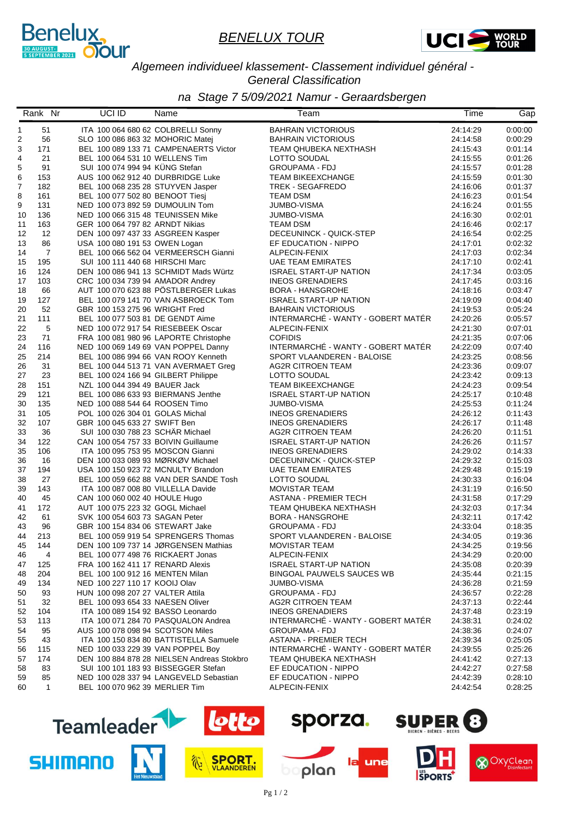



#### *Algemeen individueel klassement- Classement individuel général - General Classification*

|          | Rank Nr        | UCI ID                              | Name                                       | Team                                                | Time                 | Gap                |
|----------|----------------|-------------------------------------|--------------------------------------------|-----------------------------------------------------|----------------------|--------------------|
| 1        | 51             |                                     | ITA 100 064 680 62 COLBRELLI Sonny         | <b>BAHRAIN VICTORIOUS</b>                           | 24:14:29             | 0:00:00            |
| 2        | 56             | SLO 100 086 863 32 MOHORIC Matej    |                                            | <b>BAHRAIN VICTORIOUS</b>                           | 24:14:58             | 0:00:29            |
| 3        | 171            |                                     | BEL 100 089 133 71 CAMPENAERTS Victor      | TEAM QHUBEKA NEXTHASH                               | 24:15:43             | 0:01:14            |
| 4        | 21             | BEL 100 064 531 10 WELLENS Tim      |                                            | LOTTO SOUDAL                                        | 24:15:55             | 0:01:26            |
| 5        | 91             | SUI 100 074 994 94 KÜNG Stefan      |                                            | <b>GROUPAMA - FDJ</b>                               | 24:15:57             | 0:01:28            |
| 6        | 153            | AUS 100 062 912 40 DURBRIDGE Luke   |                                            | <b>TEAM BIKEEXCHANGE</b>                            | 24:15:59             | 0:01:30            |
| 7        | 182            | BEL 100 068 235 28 STUYVEN Jasper   |                                            | TREK - SEGAFREDO                                    | 24:16:06             | 0:01:37            |
| 8        | 161            | BEL 100 077 502 80 BENOOT Tiesj     |                                            | <b>TEAM DSM</b>                                     | 24:16:23             | 0:01:54            |
| 9        | 131            | NED 100 073 892 59 DUMOULIN Tom     |                                            | JUMBO-VISMA                                         | 24:16:24             | 0:01:55            |
| 10       | 136            | NED 100 066 315 48 TEUNISSEN Mike   |                                            | <b>JUMBO-VISMA</b>                                  | 24:16:30             | 0:02:01            |
| 11       | 163            | GER 100 064 797 82 ARNDT Nikias     |                                            | <b>TEAM DSM</b>                                     | 24:16:46             | 0:02:17            |
| 12       | 12             | DEN 100 097 437 33 ASGREEN Kasper   |                                            | DECEUNINCK - QUICK-STEP                             | 24:16:54             | 0:02:25            |
| 13       | 86             | USA 100 080 191 53 OWEN Logan       |                                            | EF EDUCATION - NIPPO                                | 24:17:01             | 0:02:32            |
| 14       | $\overline{7}$ |                                     | BEL 100 066 562 04 VERMEERSCH Gianni       | ALPECIN-FENIX                                       | 24:17:03             | 0:02:34            |
| 15       | 195            | SUI 100 111 440 68 HIRSCHI Marc     |                                            | <b>UAE TEAM EMIRATES</b>                            | 24:17:10             | 0:02:41            |
| 16       | 124            |                                     | DEN 100 086 941 13 SCHMIDT Mads Würtz      | <b>ISRAEL START-UP NATION</b>                       | 24:17:34             | 0:03:05            |
| 17       | 103            | CRC 100 034 739 94 AMADOR Andrey    |                                            | <b>INEOS GRENADIERS</b>                             | 24:17:45             | 0:03:16            |
| 18       | 66             |                                     | AUT 100 070 623 88 PÖSTLBERGER Lukas       | <b>BORA - HANSGROHE</b>                             | 24:18:16             | 0:03:47            |
| 19       | 127            |                                     | BEL 100 079 141 70 VAN ASBROECK Tom        | <b>ISRAEL START-UP NATION</b>                       | 24:19:09             | 0:04:40            |
| 20       | 52             | GBR 100 153 275 96 WRIGHT Fred      |                                            | <b>BAHRAIN VICTORIOUS</b>                           | 24:19:53             | 0:05:24            |
| 21       | 111            | BEL 100 077 503 81 DE GENDT Aime    |                                            | INTERMARCHÉ - WANTY - GOBERT MATÉR                  | 24:20:26             | 0:05:57            |
| 22       | 5              | NED 100 072 917 54 RIESEBEEK Oscar  |                                            | ALPECIN-FENIX                                       | 24:21:30             | 0:07:01            |
| 23       | 71             |                                     | FRA 100 081 980 96 LAPORTE Christophe      | <b>COFIDIS</b>                                      | 24:21:35             | 0:07:06            |
| 24       | 116            |                                     | NED 100 069 149 69 VAN POPPEL Danny        | INTERMARCHÉ - WANTY - GOBERT MATÉR                  | 24:22:09             | 0:07:40            |
| 25       | 214            |                                     | BEL 100 086 994 66 VAN ROOY Kenneth        | SPORT VLAANDEREN - BALOISE                          | 24:23:25             | 0:08:56            |
| 26       | 31             |                                     | BEL 100 044 513 71 VAN AVERMAET Greg       | <b>AG2R CITROEN TEAM</b>                            | 24:23:36             | 0:09:07            |
| 27       | 23             | BEL 100 024 166 94 GILBERT Philippe |                                            | LOTTO SOUDAL                                        | 24:23:42             | 0:09:13            |
| 28       | 151            | NZL 100 044 394 49 BAUER Jack       |                                            | <b>TEAM BIKEEXCHANGE</b>                            | 24:24:23             | 0:09:54            |
| 29       | 121            |                                     | BEL 100 086 633 93 BIERMANS Jenthe         | <b>ISRAEL START-UP NATION</b>                       | 24:25:17             | 0:10:48            |
| 30       | 135            | NED 100 088 544 64 ROOSEN Timo      |                                            | <b>JUMBO-VISMA</b>                                  | 24:25:53             | 0:11:24            |
| 31       | 105            | POL 100 026 304 01 GOLAS Michal     |                                            | <b>INEOS GRENADIERS</b>                             | 24:26:12             | 0:11:43            |
| 32       | 107            | GBR 100 045 633 27 SWIFT Ben        |                                            | <b>INEOS GRENADIERS</b>                             | 24:26:17             | 0:11:48            |
| 33       | 36             | SUI 100 030 788 23 SCHÄR Michael    |                                            | <b>AG2R CITROEN TEAM</b>                            | 24:26:20             | 0:11:51            |
| 34       | 122            | CAN 100 054 757 33 BOIVIN Guillaume |                                            | <b>ISRAEL START-UP NATION</b>                       | 24:26:26             | 0:11:57            |
| 35       | 106            | ITA 100 095 753 95 MOSCON Gianni    |                                            | <b>INEOS GRENADIERS</b>                             | 24:29:02             | 0:14:33            |
| 36       | 16             | DEN 100 033 089 93 MØRKØV Michael   |                                            | DECEUNINCK - QUICK-STEP                             | 24:29:32             | 0:15:03            |
| 37       | 194            |                                     | USA 100 150 923 72 MCNULTY Brandon         | UAE TEAM EMIRATES                                   | 24:29:48             | 0:15:19            |
| 38       | 27             |                                     | BEL 100 059 662 88 VAN DER SANDE Tosh      | LOTTO SOUDAL                                        | 24:30:33             | 0:16:04            |
| 39       | 143            | ITA 100 087 008 80 VILLELLA Davide  |                                            | <b>MOVISTAR TEAM</b>                                | 24:31:19             | 0:16:50            |
| 40       | 45             | CAN 100 060 002 40 HOULE Hugo       |                                            | <b>ASTANA - PREMIER TECH</b>                        | 24:31:58             | 0.17.29            |
| 41       | 172            | AUT 100 075 223 32 GOGL Michael     |                                            | TEAM QHUBEKA NEXTHASH                               | 24:32:03             | 0:17:34            |
| 42       | 61<br>96       | SVK 100 054 603 73 SAGAN Peter      |                                            | <b>BORA - HANSGROHE</b>                             | 24:32:11             | 0:17:42            |
| 43<br>44 | 213            | GBR 100 154 834 06 STEWART Jake     | BEL 100 059 919 54 SPRENGERS Thomas        | <b>GROUPAMA - FDJ</b><br>SPORT VLAANDEREN - BALOISE | 24:33:04<br>24:34:05 | 0:18:35<br>0:19:36 |
|          |                |                                     |                                            |                                                     |                      |                    |
| 45       | 144            | BEL 100 077 498 76 RICKAERT Jonas   | DEN 100 109 737 14 JØRGENSEN Mathias       | <b>MOVISTAR TEAM</b><br>ALPECIN-FENIX               | 24:34:25<br>24:34:29 | 0:19:56<br>0:20:00 |
| 46       | 4              | FRA 100 162 411 17 RENARD Alexis    |                                            | <b>ISRAEL START-UP NATION</b>                       | 24:35:08             | 0:20:39            |
| 47       | 125<br>204     | BEL 100 100 912 16 MENTEN Milan     |                                            | <b>BINGOAL PAUWELS SAUCES WB</b>                    | 24:35:44             | 0:21:15            |
| 48<br>49 | 134            | NED 100 227 110 17 KOOIJ Olav       |                                            | JUMBO-VISMA                                         | 24:36:28             | 0.21.59            |
|          | 93             | HUN 100 098 207 27 VALTER Attila    |                                            | <b>GROUPAMA - FDJ</b>                               | 24:36:57             | 0:22:28            |
| 50<br>51 | 32             | BEL 100 093 654 33 NAESEN Oliver    |                                            | AG2R CITROEN TEAM                                   | 24:37:13             | 0.22.44            |
| 52       | 104            | ITA 100 089 154 92 BASSO Leonardo   |                                            | <b>INEOS GRENADIERS</b>                             | 24:37:48             | 0.23:19            |
| 53       | 113            |                                     | ITA 100 071 284 70 PASQUALON Andrea        | INTERMARCHÉ - WANTY - GOBERT MATÉR                  | 24:38:31             | 0:24:02            |
| 54       | 95             | AUS 100 078 098 94 SCOTSON Miles    |                                            | <b>GROUPAMA - FDJ</b>                               | 24:38:36             | 0:24:07            |
| 55       | 43             |                                     | ITA 100 150 834 80 BATTISTELLA Samuele     | <b>ASTANA - PREMIER TECH</b>                        | 24:39:34             | 0.25:05            |
| 56       | 115            | NED 100 033 229 39 VAN POPPEL Bov   |                                            | INTERMARCHÉ - WANTY - GOBERT MATÉR                  | 24:39:55             | 0.25.26            |
| 57       | 174            |                                     | DEN 100 884 878 28 NIELSEN Andreas Stokbro | TEAM QHUBEKA NEXTHASH                               | 24:41:42             | 0:27:13            |
| 58       | 83             |                                     | SUI 100 101 183 93 BISSEGGER Stefan        | EF EDUCATION - NIPPO                                | 24:42:27             | 0.27:58            |
| 59       | 85             |                                     | NED 100 028 337 94 LANGEVELD Sebastian     | EF EDUCATION - NIPPO                                | 24:42:39             | 0.28:10            |
| 60       | $\mathbf{1}$   | BEL 100 070 962 39 MERLIER Tim      |                                            | ALPECIN-FENIX                                       | 24:42:54             | 0:28:25            |
|          |                |                                     |                                            |                                                     |                      |                    |

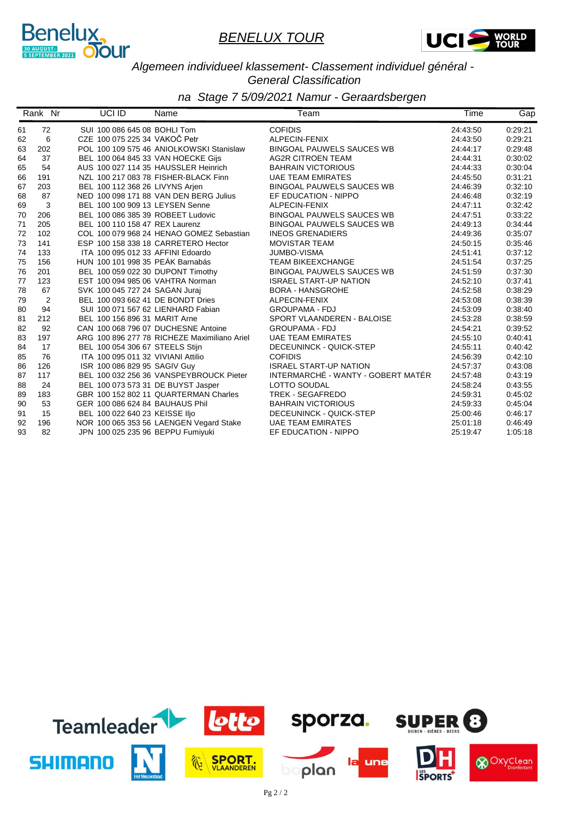



#### *Algemeen individueel klassement- Classement individuel général - General Classification*

|    | Rank Nr        | UCI ID | Name                                         | Team                               | Time     | Gap     |
|----|----------------|--------|----------------------------------------------|------------------------------------|----------|---------|
| 61 | 72             |        | SUI 100 086 645 08 BOHLI Tom                 | <b>COFIDIS</b>                     | 24:43:50 | 0:29:21 |
| 62 | 6              |        | CZE 100 075 225 34 VAKOČ Petr                | ALPECIN-FENIX                      | 24:43:50 | 0:29:21 |
| 63 | 202            |        | POL 100 109 575 46 ANIOLKOWSKI Stanislaw     | <b>BINGOAL PAUWELS SAUCES WB</b>   | 24:44:17 | 0:29:48 |
| 64 | 37             |        | BEL 100 064 845 33 VAN HOECKE Gijs           | <b>AG2R CITROEN TEAM</b>           | 24:44:31 | 0:30:02 |
| 65 | 54             |        | AUS 100 027 114 35 HAUSSLER Heinrich         | <b>BAHRAIN VICTORIOUS</b>          | 24:44:33 | 0:30:04 |
| 66 | 191            |        | NZL 100 217 083 78 FISHER-BLACK Finn         | <b>UAE TEAM EMIRATES</b>           | 24:45:50 | 0:31:21 |
| 67 | 203            |        | BEL 100 112 368 26 LIVYNS Arjen              | <b>BINGOAL PAUWELS SAUCES WB</b>   | 24:46:39 | 0:32:10 |
| 68 | 87             |        | NED 100 098 171 88 VAN DEN BERG Julius       | EF EDUCATION - NIPPO               | 24:46:48 | 0:32:19 |
| 69 | 3              |        | BEL 100 100 909 13 LEYSEN Senne              | ALPECIN-FENIX                      | 24:47:11 | 0:32:42 |
| 70 | 206            |        | BEL 100 086 385 39 ROBEET Ludovic            | <b>BINGOAL PAUWELS SAUCES WB</b>   | 24:47:51 | 0:33:22 |
| 71 | 205            |        | BEL 100 110 158 47 REX Laurenz               | <b>BINGOAL PAUWELS SAUCES WB</b>   | 24:49:13 | 0:34:44 |
| 72 | 102            |        | COL 100 079 968 24 HENAO GOMEZ Sebastian     | <b>INEOS GRENADIERS</b>            | 24:49:36 | 0:35:07 |
| 73 | 141            |        | ESP 100 158 338 18 CARRETERO Hector          | <b>MOVISTAR TEAM</b>               | 24:50:15 | 0:35:46 |
| 74 | 133            |        | ITA 100 095 012 33 AFFINI Edoardo            | <b>JUMBO-VISMA</b>                 | 24:51:41 | 0:37:12 |
| 75 | 156            |        | HUN 100 101 998 35 PEÁK Barnabás             | <b>TEAM BIKEEXCHANGE</b>           | 24:51:54 | 0:37:25 |
| 76 | 201            |        | BEL 100 059 022 30 DUPONT Timothy            | <b>BINGOAL PAUWELS SAUCES WB</b>   | 24:51:59 | 0:37:30 |
| 77 | 123            |        | EST 100 094 985 06 VAHTRA Norman             | <b>ISRAEL START-UP NATION</b>      | 24:52:10 | 0:37:41 |
| 78 | 67             |        | SVK 100 045 727 24 SAGAN Jurai               | <b>BORA - HANSGROHE</b>            | 24:52:58 | 0:38:29 |
| 79 | $\overline{2}$ |        | BEL 100 093 662 41 DE BONDT Dries            | ALPECIN-FENIX                      | 24:53:08 | 0:38:39 |
| 80 | 94             |        | SUI 100 071 567 62 LIENHARD Fabian           | <b>GROUPAMA - FDJ</b>              | 24:53:09 | 0:38:40 |
| 81 | 212            |        | BEL 100 156 896 31 MARIT Arne                | SPORT VLAANDEREN - BALOISE         | 24:53:28 | 0:38:59 |
| 82 | 92             |        | CAN 100 068 796 07 DUCHESNE Antoine          | <b>GROUPAMA - FDJ</b>              | 24:54:21 | 0:39:52 |
| 83 | 197            |        | ARG 100 896 277 78 RICHEZE Maximiliano Ariel | <b>UAE TEAM EMIRATES</b>           | 24:55:10 | 0:40:41 |
| 84 | 17             |        | BEL 100 054 306 67 STEELS Stijn              | DECEUNINCK - QUICK-STEP            | 24:55:11 | 0:40:42 |
| 85 | 76             |        | ITA 100 095 011 32 VIVIANI Attilio           | <b>COFIDIS</b>                     | 24:56:39 | 0:42:10 |
| 86 | 126            |        | ISR 100 086 829 95 SAGIV Guy                 | <b>ISRAEL START-UP NATION</b>      | 24:57:37 | 0:43:08 |
| 87 | 117            |        | BEL 100 032 256 36 VANSPEYBROUCK Pieter      | INTERMARCHÉ - WANTY - GOBERT MATÉR | 24:57:48 | 0:43:19 |
| 88 | 24             |        | BEL 100 073 573 31 DE BUYST Jasper           | LOTTO SOUDAL                       | 24:58:24 | 0:43:55 |
| 89 | 183            |        | GBR 100 152 802 11 QUARTERMAN Charles        | <b>TREK - SEGAFREDO</b>            | 24:59:31 | 0:45:02 |
| 90 | 53             |        | GER 100 086 624 84 BAUHAUS Phil              | <b>BAHRAIN VICTORIOUS</b>          | 24:59:33 | 0:45:04 |
| 91 | 15             |        | BEL 100 022 640 23 KEISSE IIjo               | DECEUNINCK - QUICK-STEP            | 25:00:46 | 0.46.17 |
| 92 | 196            |        | NOR 100 065 353 56 LAENGEN Vegard Stake      | <b>UAE TEAM EMIRATES</b>           | 25:01:18 | 0:46:49 |
| 93 | 82             |        | JPN 100 025 235 96 BEPPU Fumiyuki            | EF EDUCATION - NIPPO               | 25:19:47 | 1:05:18 |

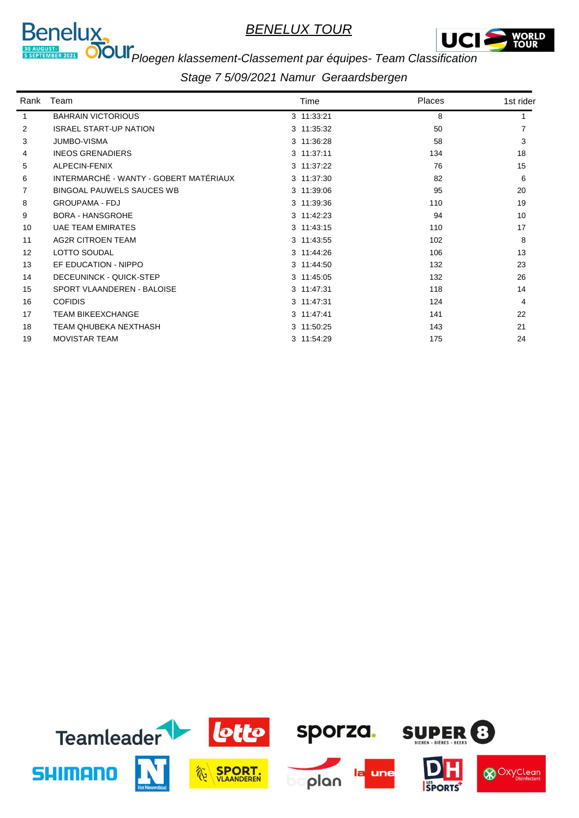



# *Ploegen klassement-Classement par équipes- Team Classification*

| Rank | Team                                   | Time       | <b>Places</b> | 1st rider |
|------|----------------------------------------|------------|---------------|-----------|
|      | <b>BAHRAIN VICTORIOUS</b>              | 3 11:33:21 | 8             |           |
| 2    | <b>ISRAEL START-UP NATION</b>          | 3 11:35:32 | 50            |           |
| 3    | <b>JUMBO-VISMA</b>                     | 3 11:36:28 | 58            | 3         |
| 4    | <b>INEOS GRENADIERS</b>                | 3 11:37:11 | 134           | 18        |
| 5    | ALPECIN-FENIX                          | 3 11:37:22 | 76            | 15        |
| 6    | INTERMARCHÉ - WANTY - GOBERT MATÉRIAUX | 3 11:37:30 | 82            | 6         |
| 7    | <b>BINGOAL PAUWELS SAUCES WB</b>       | 3 11:39:06 | 95            | 20        |
| 8    | <b>GROUPAMA - FDJ</b>                  | 3 11:39:36 | 110           | 19        |
| 9    | <b>BORA - HANSGROHE</b>                | 3 11:42:23 | 94            | 10        |
| 10   | <b>UAE TEAM EMIRATES</b>               | 3 11:43:15 | 110           | 17        |
| 11   | <b>AG2R CITROEN TEAM</b>               | 3 11:43:55 | 102           | 8         |
| 12   | <b>LOTTO SOUDAL</b>                    | 3 11:44:26 | 106           | 13        |
| 13   | EF EDUCATION - NIPPO                   | 3 11:44:50 | 132           | 23        |
| 14   | DECEUNINCK - QUICK-STEP                | 3 11:45:05 | 132           | 26        |
| 15   | SPORT VLAANDEREN - BALOISE             | 3 11:47:31 | 118           | 14        |
| 16   | <b>COFIDIS</b>                         | 3 11:47:31 | 124           | 4         |
| 17   | <b>TEAM BIKEEXCHANGE</b>               | 3 11:47:41 | 141           | 22        |
| 18   | TEAM OHUBEKA NEXTHASH                  | 3 11:50:25 | 143           | 21        |
| 19   | <b>MOVISTAR TEAM</b>                   | 3 11:54:29 | 175           | 24        |

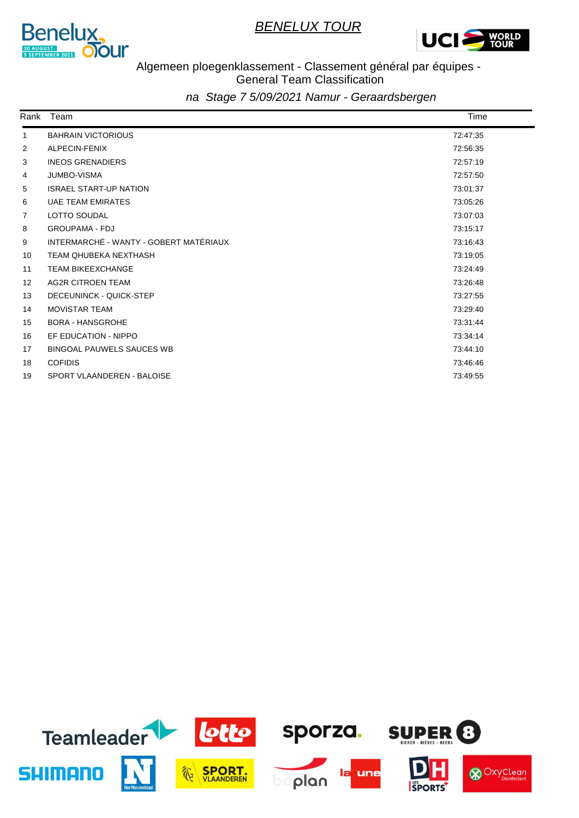



#### Algemeen ploegenklassement - Classement général par équipes - General Team Classification

| Rank              | Team                                   | Time     |
|-------------------|----------------------------------------|----------|
| $\mathbf{1}$      | <b>BAHRAIN VICTORIOUS</b>              | 72:47:35 |
| 2                 | ALPECIN-FENIX                          | 72:56:35 |
| 3                 | <b>INEOS GRENADIERS</b>                | 72:57:19 |
| 4                 | <b>JUMBO-VISMA</b>                     | 72:57:50 |
| 5                 | <b>ISRAEL START-UP NATION</b>          | 73:01:37 |
| 6                 | <b>UAE TEAM EMIRATES</b>               | 73:05:26 |
| 7                 | LOTTO SOUDAL                           | 73:07:03 |
| 8                 | <b>GROUPAMA - FDJ</b>                  | 73:15:17 |
| 9                 | INTERMARCHÉ - WANTY - GOBERT MATÉRIAUX | 73:16:43 |
| 10                | <b>TEAM QHUBEKA NEXTHASH</b>           | 73:19:05 |
| 11                | <b>TEAM BIKEEXCHANGE</b>               | 73:24:49 |
| $12 \overline{ }$ | <b>AG2R CITROEN TEAM</b>               | 73:26:48 |
| 13                | <b>DECEUNINCK - QUICK-STEP</b>         | 73:27:55 |
| 14                | <b>MOVISTAR TEAM</b>                   | 73:29:40 |
| 15                | <b>BORA - HANSGROHE</b>                | 73:31:44 |
| 16                | EF EDUCATION - NIPPO                   | 73:34:14 |
| 17                | <b>BINGOAL PAUWELS SAUCES WB</b>       | 73:44:10 |
| 18                | <b>COFIDIS</b>                         | 73:46:46 |
| 19                | SPORT VLAANDEREN - BALOISE             | 73:49:55 |

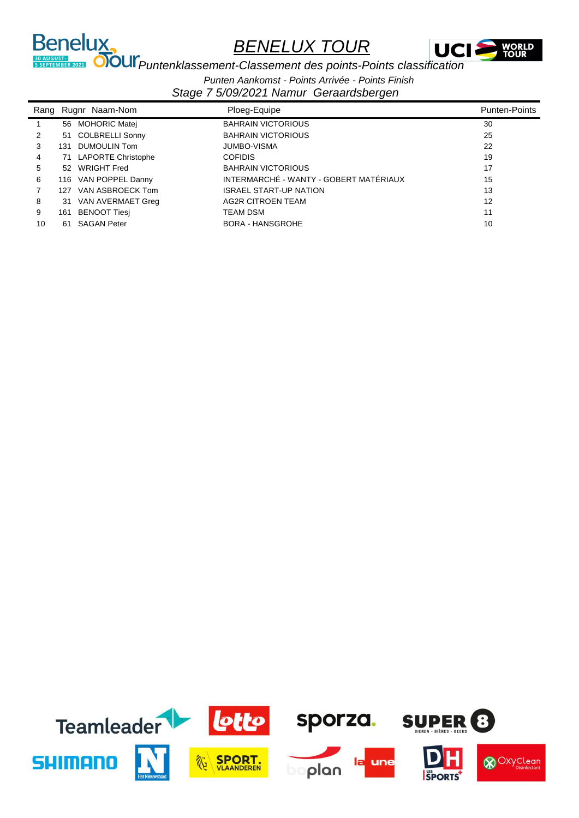

**PUNTER AUGUST:**<br> **PUNTER 2021 OTOUI** *Puntenklassement-Classement des points-Points classification* 

Benelux,

*Punten Aankomst - Points Arrivée - Points Finish*

| Rang |     | Rugnr Naam-Nom        | Ploeg-Equipe                           | <b>Punten-Points</b> |
|------|-----|-----------------------|----------------------------------------|----------------------|
|      |     | 56 MOHORIC Matei      | <b>BAHRAIN VICTORIOUS</b>              | 30                   |
| 2    |     | 51 COLBRELLI Sonny    | <b>BAHRAIN VICTORIOUS</b>              | 25                   |
| 3    | 131 | DUMOULIN Tom          | <b>JUMBO-VISMA</b>                     | 22                   |
| 4    |     | 71 LAPORTE Christophe | <b>COFIDIS</b>                         | 19                   |
| 5    |     | 52 WRIGHT Fred        | <b>BAHRAIN VICTORIOUS</b>              | 17                   |
| 6    |     | 116 VAN POPPEL Danny  | INTERMARCHÉ - WANTY - GOBERT MATÉRIAUX | 15                   |
|      | 127 | VAN ASBROECK Tom      | <b>ISRAEL START-UP NATION</b>          | 13                   |
| 8    | 31  | VAN AVERMAET Greg     | <b>AG2R CITROEN TEAM</b>               | 12                   |
| 9    | 161 | BENOOT Tiesi          | <b>TEAM DSM</b>                        | 11                   |
| 10   | 61  | <b>SAGAN Peter</b>    | <b>BORA - HANSGROHE</b>                | 10                   |

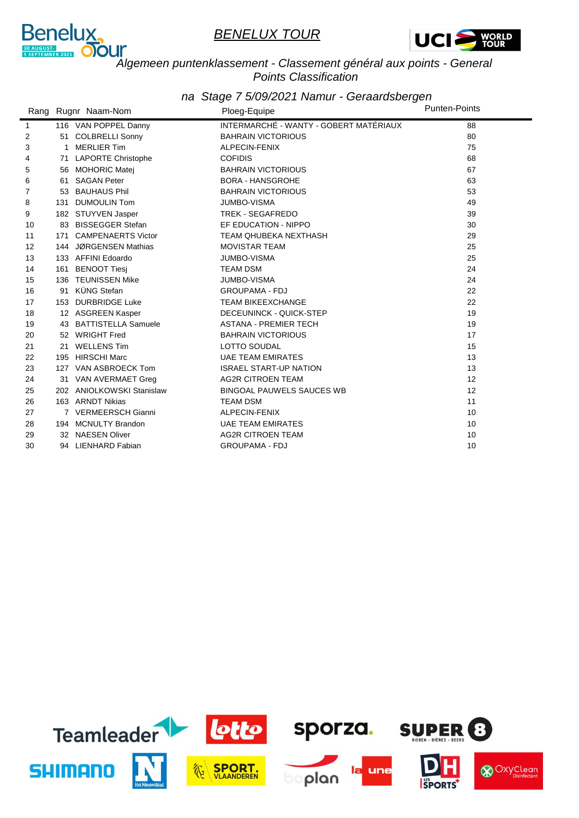



#### *Algemeen puntenklassement - Classement général aux points - General Points Classification*

|                   |     | Rang Rugnr Naam-Nom       | Ploeg-Equipe                           | <b>Punten-Points</b> |
|-------------------|-----|---------------------------|----------------------------------------|----------------------|
| $\mathbf{1}$      |     | 116 VAN POPPEL Danny      | INTERMARCHÉ - WANTY - GOBERT MATÉRIAUX | 88                   |
| 2                 |     | 51 COLBRELLI Sonny        | <b>BAHRAIN VICTORIOUS</b>              | 80                   |
| 3                 | 1   | <b>MERLIER Tim</b>        | ALPECIN-FENIX                          | 75                   |
| 4                 | 71  | <b>LAPORTE Christophe</b> | <b>COFIDIS</b>                         | 68                   |
| 5                 | 56  | <b>MOHORIC Matej</b>      | <b>BAHRAIN VICTORIOUS</b>              | 67                   |
| 6                 |     | 61 SAGAN Peter            | <b>BORA - HANSGROHE</b>                | 63                   |
| 7                 |     | 53 BAUHAUS Phil           | <b>BAHRAIN VICTORIOUS</b>              | 53                   |
| 8                 | 131 | <b>DUMOULIN Tom</b>       | <b>JUMBO-VISMA</b>                     | 49                   |
| 9                 |     | 182 STUYVEN Jasper        | TREK - SEGAFREDO                       | 39                   |
| 10                | 83  | <b>BISSEGGER Stefan</b>   | EF EDUCATION - NIPPO                   | 30                   |
| 11                | 171 | <b>CAMPENAERTS Victor</b> | <b>TEAM QHUBEKA NEXTHASH</b>           | 29                   |
| $12 \overline{ }$ |     | 144 JØRGENSEN Mathias     | <b>MOVISTAR TEAM</b>                   | 25                   |
| 13                |     | 133 AFFINI Edoardo        | <b>JUMBO-VISMA</b>                     | 25                   |
| 14                | 161 | <b>BENOOT Tiesi</b>       | <b>TEAM DSM</b>                        | 24                   |
| 15                |     | 136 TEUNISSEN Mike        | <b>JUMBO-VISMA</b>                     | 24                   |
| 16                | 91  | KÜNG Stefan               | <b>GROUPAMA - FDJ</b>                  | 22                   |
| 17                |     | 153 DURBRIDGE Luke        | <b>TEAM BIKEEXCHANGE</b>               | 22                   |
| 18                |     | 12 ASGREEN Kasper         | DECEUNINCK - QUICK-STEP                | 19                   |
| 19                |     | 43 BATTISTELLA Samuele    | <b>ASTANA - PREMIER TECH</b>           | 19                   |
| 20                |     | 52 WRIGHT Fred            | <b>BAHRAIN VICTORIOUS</b>              | 17                   |
| 21                | 21  | <b>WELLENS Tim</b>        | <b>LOTTO SOUDAL</b>                    | 15                   |
| 22                | 195 | <b>HIRSCHI Marc</b>       | <b>UAE TEAM EMIRATES</b>               | 13                   |
| 23                |     | 127 VAN ASBROECK Tom      | <b>ISRAEL START-UP NATION</b>          | 13                   |
| 24                | 31  | VAN AVERMAET Greg         | <b>AG2R CITROEN TEAM</b>               | 12                   |
| 25                |     | 202 ANIOLKOWSKI Stanislaw | <b>BINGOAL PAUWELS SAUCES WB</b>       | 12                   |
| 26                |     | 163 ARNDT Nikias          | <b>TEAM DSM</b>                        | 11                   |
| 27                |     | 7 VERMEERSCH Gianni       | ALPECIN-FENIX                          | 10                   |
| 28                |     | 194 MCNULTY Brandon       | <b>UAE TEAM EMIRATES</b>               | 10                   |
| 29                |     | 32 NAESEN Oliver          | <b>AG2R CITROEN TEAM</b>               | 10                   |
| 30                |     | 94 LIENHARD Fabian        | <b>GROUPAMA - FDJ</b>                  | 10                   |

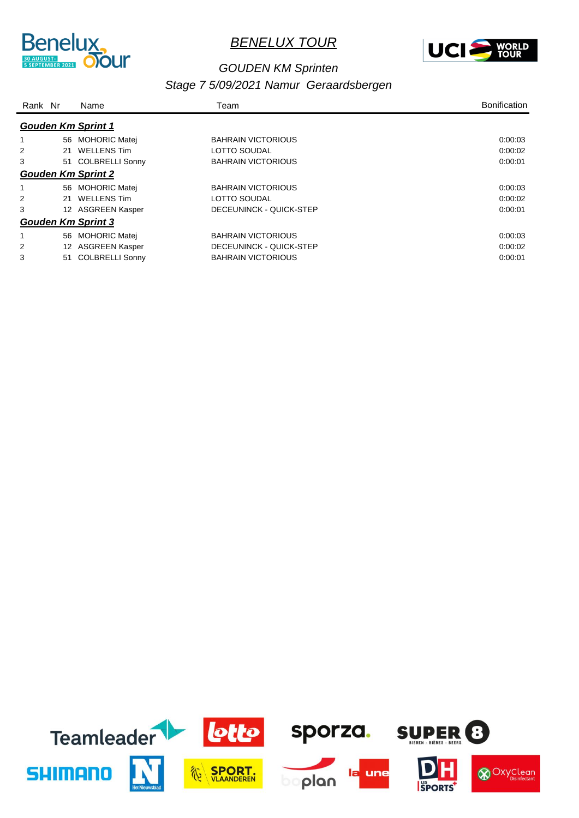



#### *GOUDEN KM Sprinten*

|   | Rank Nr<br>Name |                           | Team                      | <b>Bonification</b> |
|---|-----------------|---------------------------|---------------------------|---------------------|
|   |                 | <b>Gouden Km Sprint 1</b> |                           |                     |
|   | 56              | <b>MOHORIC Matei</b>      | <b>BAHRAIN VICTORIOUS</b> | 0:00:03             |
|   |                 | 21 WELLENS Tim            | LOTTO SOUDAL              | 0:00:02             |
| 3 |                 | 51 COLBRELLI Sonny        | <b>BAHRAIN VICTORIOUS</b> | 0:00:01             |
|   |                 | <b>Gouden Km Sprint 2</b> |                           |                     |
|   | 56              | <b>MOHORIC Matej</b>      | <b>BAHRAIN VICTORIOUS</b> | 0:00:03             |
| 2 |                 | 21 WELLENS Tim            | LOTTO SOUDAL              | 0:00:02             |
| 3 |                 | 12 ASGREEN Kasper         | DECEUNINCK - QUICK-STEP   | 0:00:01             |
|   |                 | <b>Gouden Km Sprint 3</b> |                           |                     |
|   | 56              | <b>MOHORIC Matej</b>      | <b>BAHRAIN VICTORIOUS</b> | 0:00:03             |
|   | 12              | ASGREEN Kasper            | DECEUNINCK - QUICK-STEP   | 0.00.02             |
| 3 | 51              | <b>COLBRELLI Sonny</b>    | <b>BAHRAIN VICTORIOUS</b> | 0:00:01             |

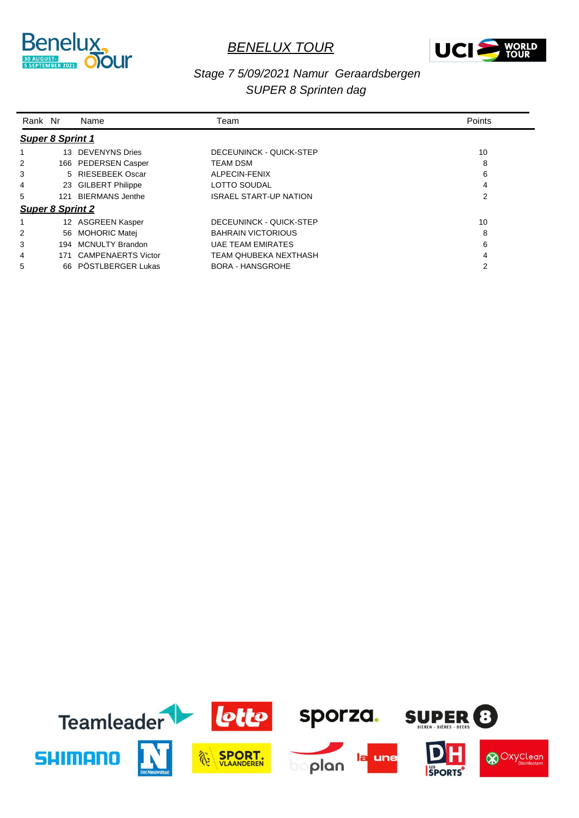



#### *Stage 7 5/09/2021 Namur Geraardsbergen SUPER 8 Sprinten dag*

| Rank Nr                 |     | Name                      | Team                          | Points |
|-------------------------|-----|---------------------------|-------------------------------|--------|
| <b>Super 8 Sprint 1</b> |     |                           |                               |        |
|                         |     | 13 DEVENYNS Dries         | DECEUNINCK - QUICK-STEP       | 10     |
| 2                       |     | 166 PEDERSEN Casper       | <b>TEAM DSM</b>               | 8      |
| 3                       |     | 5 RIESEBEEK Oscar         | ALPECIN-FENIX                 | 6      |
| 4                       |     | 23 GILBERT Philippe       | <b>LOTTO SOUDAL</b>           | 4      |
| 5                       | 121 | <b>BIERMANS Jenthe</b>    | <b>ISRAEL START-UP NATION</b> | 2      |
| <b>Super 8 Sprint 2</b> |     |                           |                               |        |
|                         |     | 12 ASGREEN Kasper         | DECEUNINCK - QUICK-STEP       | 10     |
| 2                       |     | 56 MOHORIC Matei          | <b>BAHRAIN VICTORIOUS</b>     | 8      |
| 3                       | 194 | <b>MCNULTY Brandon</b>    | <b>UAE TEAM EMIRATES</b>      | 6      |
| 4                       | 171 | <b>CAMPENAERTS Victor</b> | TEAM OHUBEKA NEXTHASH         | 4      |
| 5                       |     | 66 PÖSTLBERGER Lukas      | <b>BORA - HANSGROHE</b>       | 2      |

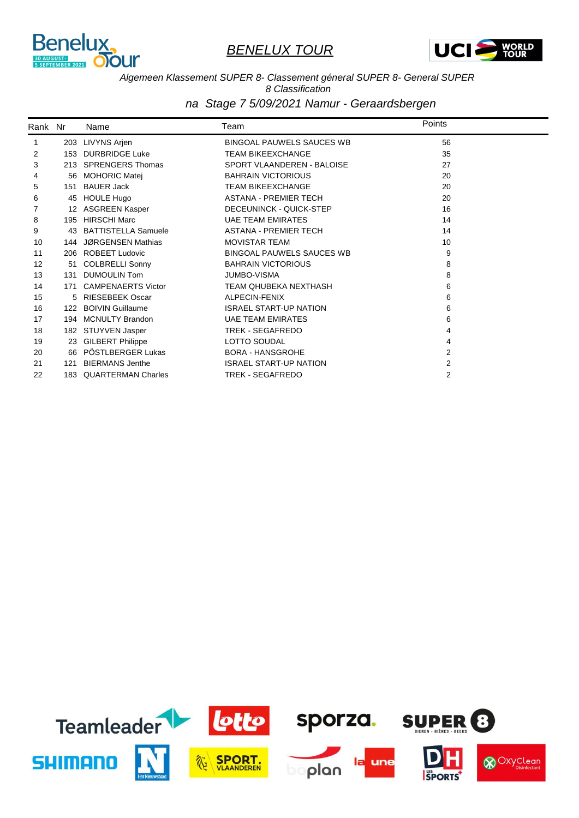



#### *Algemeen Klassement SUPER 8- Classement géneral SUPER 8- General SUPER*

*8 Classification*

| Rank Nr |     | Name                      | Team                             | Points |  |
|---------|-----|---------------------------|----------------------------------|--------|--|
| 1       |     | 203 LIVYNS Arjen          | <b>BINGOAL PAUWELS SAUCES WB</b> | 56     |  |
| 2       | 153 | <b>DURBRIDGE Luke</b>     | <b>TEAM BIKEEXCHANGE</b>         | 35     |  |
| 3       |     | 213 SPRENGERS Thomas      | SPORT VLAANDEREN - BALOISE       | 27     |  |
| 4       | 56  | <b>MOHORIC Matej</b>      | <b>BAHRAIN VICTORIOUS</b>        | 20     |  |
| 5       | 151 | <b>BAUER Jack</b>         | <b>TEAM BIKEEXCHANGE</b>         | 20     |  |
| 6       | 45  | <b>HOULE Hugo</b>         | <b>ASTANA - PREMIER TECH</b>     | 20     |  |
|         | 12  | <b>ASGREEN Kasper</b>     | DECEUNINCK - QUICK-STEP          | 16     |  |
| 8       |     | 195 HIRSCHI Marc          | <b>UAE TEAM EMIRATES</b>         | 14     |  |
| 9       |     | 43 BATTISTELLA Samuele    | <b>ASTANA - PREMIER TECH</b>     | 14     |  |
| 10      | 144 | JØRGENSEN Mathias         | <b>MOVISTAR TEAM</b>             | 10     |  |
| 11      |     | 206 ROBEET Ludovic        | <b>BINGOAL PAUWELS SAUCES WB</b> | 9      |  |
| 12      | 51  | <b>COLBRELLI Sonny</b>    | <b>BAHRAIN VICTORIOUS</b>        | 8      |  |
| 13      |     | 131 DUMOULIN Tom          | <b>JUMBO-VISMA</b>               | 8      |  |
| 14      | 171 | <b>CAMPENAERTS Victor</b> | <b>TEAM QHUBEKA NEXTHASH</b>     | 6      |  |
| 15      |     | 5 RIESEBEEK Oscar         | ALPECIN-FENIX                    | 6      |  |
| 16      |     | 122 BOIVIN Guillaume      | <b>ISRAEL START-UP NATION</b>    | 6      |  |
| 17      |     | 194 MCNULTY Brandon       | <b>UAE TEAM EMIRATES</b>         | 6      |  |
| 18      |     | 182 STUYVEN Jasper        | TREK - SEGAFREDO                 | 4      |  |
| 19      |     | 23 GILBERT Philippe       | LOTTO SOUDAL                     | 4      |  |
| 20      |     | 66 PÖSTLBERGER Lukas      | <b>BORA - HANSGROHE</b>          | 2      |  |
| 21      | 121 | <b>BIERMANS Jenthe</b>    | <b>ISRAEL START-UP NATION</b>    | 2      |  |
| 22      | 183 | <b>QUARTERMAN Charles</b> | <b>TREK - SEGAFREDO</b>          | 2      |  |

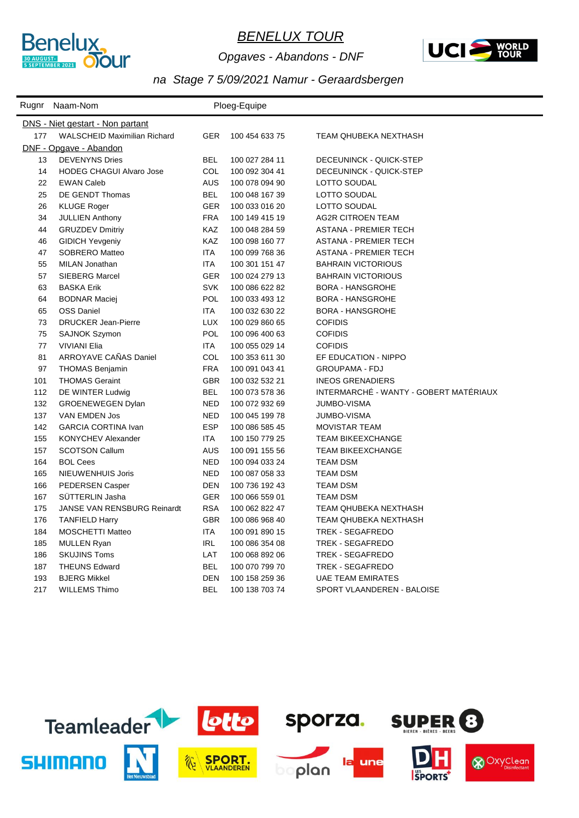

*Opgaves - Abandons - DNF*



|     | Rugnr Naam-Nom                          |            | Ploeg-Equipe   |                                        |
|-----|-----------------------------------------|------------|----------------|----------------------------------------|
|     | <b>DNS</b> - Niet gestart - Non partant |            |                |                                        |
| 177 | <b>WALSCHEID Maximilian Richard</b>     | <b>GER</b> | 100 454 633 75 | TEAM QHUBEKA NEXTHASH                  |
|     | DNF - Opgave - Abandon                  |            |                |                                        |
| 13  | <b>DEVENYNS Dries</b>                   | <b>BEL</b> | 100 027 284 11 | DECEUNINCK - QUICK-STEP                |
| 14  | <b>HODEG CHAGUI Alvaro Jose</b>         | <b>COL</b> | 100 092 304 41 | DECEUNINCK - QUICK-STEP                |
| 22  | <b>EWAN Caleb</b>                       | <b>AUS</b> | 100 078 094 90 | LOTTO SOUDAL                           |
| 25  | DE GENDT Thomas                         | <b>BEL</b> | 100 048 167 39 | LOTTO SOUDAL                           |
| 26  | <b>KLUGE Roger</b>                      | <b>GER</b> | 100 033 016 20 | LOTTO SOUDAL                           |
| 34  | <b>JULLIEN Anthony</b>                  | <b>FRA</b> | 100 149 415 19 | <b>AG2R CITROEN TEAM</b>               |
| 44  | <b>GRUZDEV Dmitriy</b>                  | <b>KAZ</b> | 100 048 284 59 | <b>ASTANA - PREMIER TECH</b>           |
| 46  | <b>GIDICH Yevgeniy</b>                  | KAZ        | 100 098 160 77 | <b>ASTANA - PREMIER TECH</b>           |
| 47  | <b>SOBRERO Matteo</b>                   | ITA        | 100 099 768 36 | <b>ASTANA - PREMIER TECH</b>           |
| 55  | <b>MILAN Jonathan</b>                   | <b>ITA</b> | 100 301 151 47 | <b>BAHRAIN VICTORIOUS</b>              |
| 57  | <b>SIEBERG Marcel</b>                   | <b>GER</b> | 100 024 279 13 | <b>BAHRAIN VICTORIOUS</b>              |
| 63  | <b>BASKA Erik</b>                       | <b>SVK</b> | 100 086 622 82 | <b>BORA - HANSGROHE</b>                |
| 64  | <b>BODNAR Maciej</b>                    | <b>POL</b> | 100 033 493 12 | <b>BORA - HANSGROHE</b>                |
| 65  | <b>OSS Daniel</b>                       | <b>ITA</b> | 100 032 630 22 | <b>BORA - HANSGROHE</b>                |
| 73  | <b>DRUCKER Jean-Pierre</b>              | <b>LUX</b> | 100 029 860 65 | <b>COFIDIS</b>                         |
| 75  | <b>SAJNOK Szymon</b>                    | POL        | 100 096 400 63 | <b>COFIDIS</b>                         |
| 77  | <b>VIVIANI Elia</b>                     | <b>ITA</b> | 100 055 029 14 | <b>COFIDIS</b>                         |
| 81  | ARROYAVE CAÑAS Daniel                   | COL        | 100 353 611 30 | EF EDUCATION - NIPPO                   |
| 97  | <b>THOMAS Benjamin</b>                  | <b>FRA</b> | 100 091 043 41 | <b>GROUPAMA - FDJ</b>                  |
| 101 | <b>THOMAS Geraint</b>                   | <b>GBR</b> | 100 032 532 21 | <b>INEOS GRENADIERS</b>                |
| 112 | DE WINTER Ludwig                        | <b>BEL</b> | 100 073 578 36 | INTERMARCHÉ - WANTY - GOBERT MATÉRIAUX |
| 132 | <b>GROENEWEGEN Dylan</b>                | <b>NED</b> | 100 072 932 69 | <b>JUMBO-VISMA</b>                     |
| 137 | VAN EMDEN Jos                           | <b>NED</b> | 100 045 199 78 | <b>JUMBO-VISMA</b>                     |
| 142 | <b>GARCIA CORTINA Ivan</b>              | <b>ESP</b> | 100 086 585 45 | <b>MOVISTAR TEAM</b>                   |
| 155 | <b>KONYCHEV Alexander</b>               | ITA        | 100 150 779 25 | <b>TEAM BIKEEXCHANGE</b>               |
| 157 | <b>SCOTSON Callum</b>                   | <b>AUS</b> | 100 091 155 56 | <b>TEAM BIKEEXCHANGE</b>               |
| 164 | <b>BOL Cees</b>                         | <b>NED</b> | 100 094 033 24 | <b>TEAM DSM</b>                        |
| 165 | NIEUWENHUIS Joris                       | <b>NED</b> | 100 087 058 33 | <b>TEAM DSM</b>                        |
| 166 | <b>PEDERSEN Casper</b>                  | <b>DEN</b> | 100 736 192 43 | <b>TEAM DSM</b>                        |
| 167 | SÜTTERLIN Jasha                         | <b>GER</b> | 100 066 559 01 | <b>TEAM DSM</b>                        |
| 175 | JANSE VAN RENSBURG Reinardt             | <b>RSA</b> | 100 062 822 47 | TEAM QHUBEKA NEXTHASH                  |
| 176 | <b>TANFIELD Harry</b>                   | <b>GBR</b> | 100 086 968 40 | TEAM QHUBEKA NEXTHASH                  |
| 184 | <b>MOSCHETTI Matteo</b>                 | <b>ITA</b> | 100 091 890 15 | TREK - SEGAFREDO                       |
| 185 | <b>MULLEN Ryan</b>                      | <b>IRL</b> | 100 086 354 08 | TREK - SEGAFREDO                       |
| 186 | <b>SKUJINS Toms</b>                     | LAT        | 100 068 892 06 | TREK - SEGAFREDO                       |
| 187 | <b>THEUNS Edward</b>                    | <b>BEL</b> | 100 070 799 70 | <b>TREK - SEGAFREDO</b>                |
| 193 | <b>BJERG Mikkel</b>                     | DEN        | 100 158 259 36 | <b>UAE TEAM EMIRATES</b>               |
| 217 | <b>WILLEMS Thimo</b>                    | <b>BEL</b> | 100 138 703 74 | SPORT VLAANDEREN - BALOISE             |